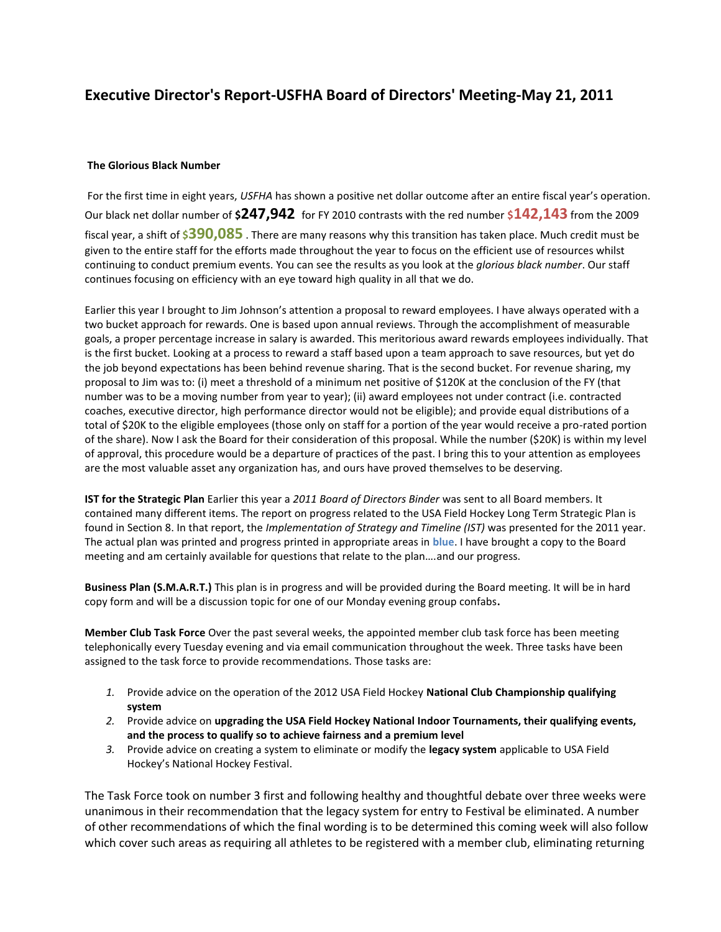## **Executive Director's Report-USFHA Board of Directors' Meeting-May 21, 2011**

## **The Glorious Black Number**

For the first time in eight years, *USFHA* has shown a positive net dollar outcome after an entire fiscal year's operation. Our black net dollar number of **\$247,942** for FY 2010 contrasts with the red number **\$142,143** from the 2009 fiscal year, a shift of **\$390,085** . There are many reasons why this transition has taken place. Much credit must be given to the entire staff for the efforts made throughout the year to focus on the efficient use of resources whilst continuing to conduct premium events. You can see the results as you look at the *glorious black number*. Our staff continues focusing on efficiency with an eye toward high quality in all that we do.

Earlier this year I brought to Jim Johnson's attention a proposal to reward employees. I have always operated with a two bucket approach for rewards. One is based upon annual reviews. Through the accomplishment of measurable goals, a proper percentage increase in salary is awarded. This meritorious award rewards employees individually. That is the first bucket. Looking at a process to reward a staff based upon a team approach to save resources, but yet do the job beyond expectations has been behind revenue sharing. That is the second bucket. For revenue sharing, my proposal to Jim was to: (i) meet a threshold of a minimum net positive of \$120K at the conclusion of the FY (that number was to be a moving number from year to year); (ii) award employees not under contract (i.e. contracted coaches, executive director, high performance director would not be eligible); and provide equal distributions of a total of \$20K to the eligible employees (those only on staff for a portion of the year would receive a pro-rated portion of the share). Now I ask the Board for their consideration of this proposal. While the number (\$20K) is within my level of approval, this procedure would be a departure of practices of the past. I bring this to your attention as employees are the most valuable asset any organization has, and ours have proved themselves to be deserving.

**IST for the Strategic Plan** Earlier this year a *2011 Board of Directors Binder* was sent to all Board members. It contained many different items. The report on progress related to the USA Field Hockey Long Term Strategic Plan is found in Section 8. In that report, the *Implementation of Strategy and Timeline (IST)* was presented for the 2011 year. The actual plan was printed and progress printed in appropriate areas in **blue**. I have brought a copy to the Board meeting and am certainly available for questions that relate to the plan….and our progress.

**Business Plan (S.M.A.R.T.)** This plan is in progress and will be provided during the Board meeting. It will be in hard copy form and will be a discussion topic for one of our Monday evening group confabs**.**

**Member Club Task Force** Over the past several weeks, the appointed member club task force has been meeting telephonically every Tuesday evening and via email communication throughout the week. Three tasks have been assigned to the task force to provide recommendations. Those tasks are:

- *1.* Provide advice on the operation of the 2012 USA Field Hockey **National Club Championship qualifying system**
- *2.* Provide advice on **upgrading the USA Field Hockey National Indoor Tournaments, their qualifying events, and the process to qualify so to achieve fairness and a premium level**
- *3.* Provide advice on creating a system to eliminate or modify the **legacy system** applicable to USA Field Hockey's National Hockey Festival.

The Task Force took on number 3 first and following healthy and thoughtful debate over three weeks were unanimous in their recommendation that the legacy system for entry to Festival be eliminated. A number of other recommendations of which the final wording is to be determined this coming week will also follow which cover such areas as requiring all athletes to be registered with a member club, eliminating returning